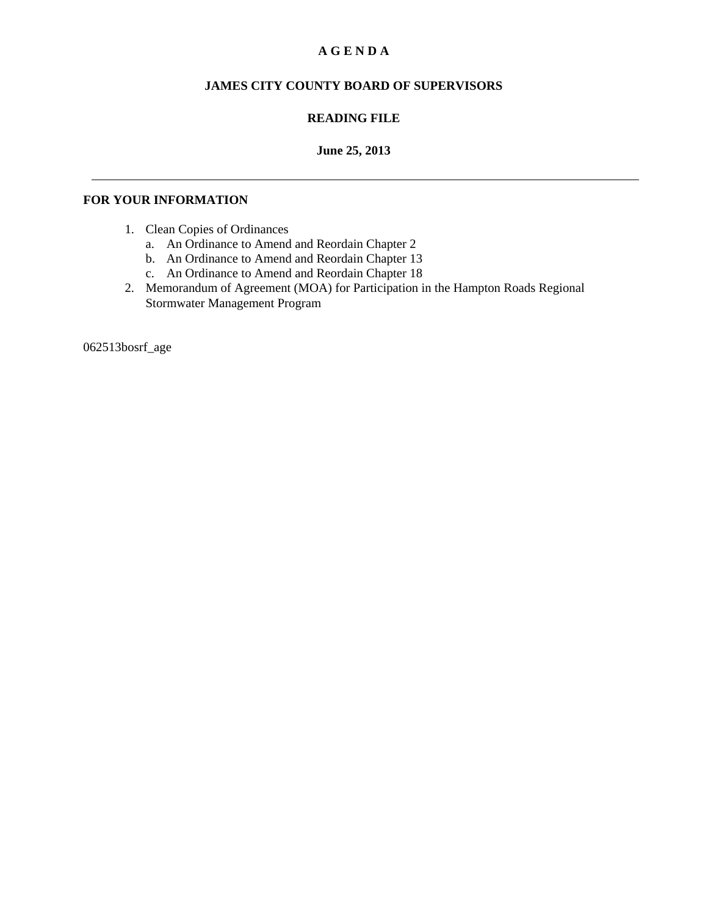### **A G E N D A**

### **JAMES CITY COUNTY BOARD OF SUPERVISORS**

### **READING FILE**

#### **June 25, 2013**

#### **FOR YOUR INFORMATION**

- 1. Clean Copies of Ordinances
	- a. An Ordinance to Amend and Reordain Chapter 2
	- b. An Ordinance to Amend and Reordain Chapter 13
	- c. An Ordinance to Amend and Reordain Chapter 18
- 2. Memorandum of Agreement (MOA) for Participation in the Hampton Roads Regional Stormwater Management Program

062513bosrf\_age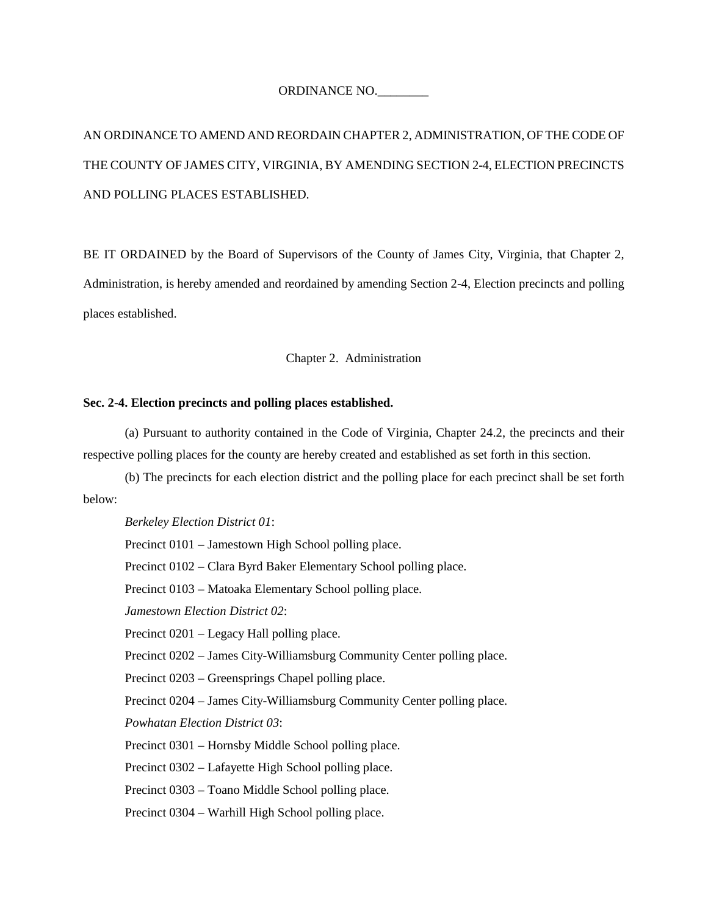#### ORDINANCE NO.\_\_\_\_\_\_\_\_

# AN ORDINANCE TO AMEND AND REORDAIN CHAPTER 2, ADMINISTRATION, OF THE CODE OF THE COUNTY OF JAMES CITY, VIRGINIA, BY AMENDING SECTION 2-4, ELECTION PRECINCTS AND POLLING PLACES ESTABLISHED.

BE IT ORDAINED by the Board of Supervisors of the County of James City, Virginia, that Chapter 2, Administration, is hereby amended and reordained by amending Section 2-4, Election precincts and polling places established.

#### Chapter 2. Administration

#### **Sec. 2-4. Election precincts and polling places established.**

(a) Pursuant to authority contained in the Code of Virginia, Chapter 24.2, the precincts and their respective polling places for the county are hereby created and established as set forth in this section.

(b) The precincts for each election district and the polling place for each precinct shall be set forth below:

*Berkeley Election District 01*:

Precinct 0101 – Jamestown High School polling place.

Precinct 0102 – Clara Byrd Baker Elementary School polling place.

Precinct 0103 – Matoaka Elementary School polling place.

*Jamestown Election District 02*:

Precinct 0201 – Legacy Hall polling place.

Precinct 0202 – James City-Williamsburg Community Center polling place.

Precinct 0203 – Greensprings Chapel polling place.

Precinct 0204 – James City-Williamsburg Community Center polling place.

*Powhatan Election District 03*:

Precinct 0301 – Hornsby Middle School polling place.

Precinct 0302 – Lafayette High School polling place.

Precinct 0303 – Toano Middle School polling place.

Precinct 0304 – Warhill High School polling place.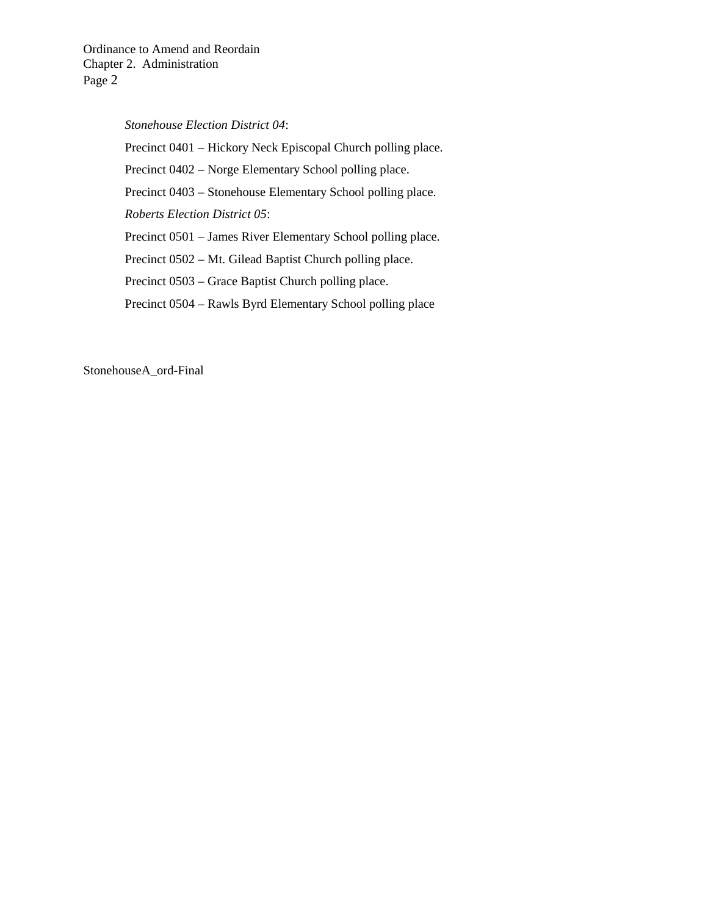#### *Stonehouse Election District 04*:

Precinct 0401 – Hickory Neck Episcopal Church polling place. Precinct 0402 – Norge Elementary School polling place. Precinct 0403 – Stonehouse Elementary School polling place. *Roberts Election District 05*: Precinct 0501 – James River Elementary School polling place. Precinct 0502 – Mt. Gilead Baptist Church polling place. Precinct 0503 – Grace Baptist Church polling place.

Precinct 0504 – Rawls Byrd Elementary School polling place

StonehouseA\_ord-Final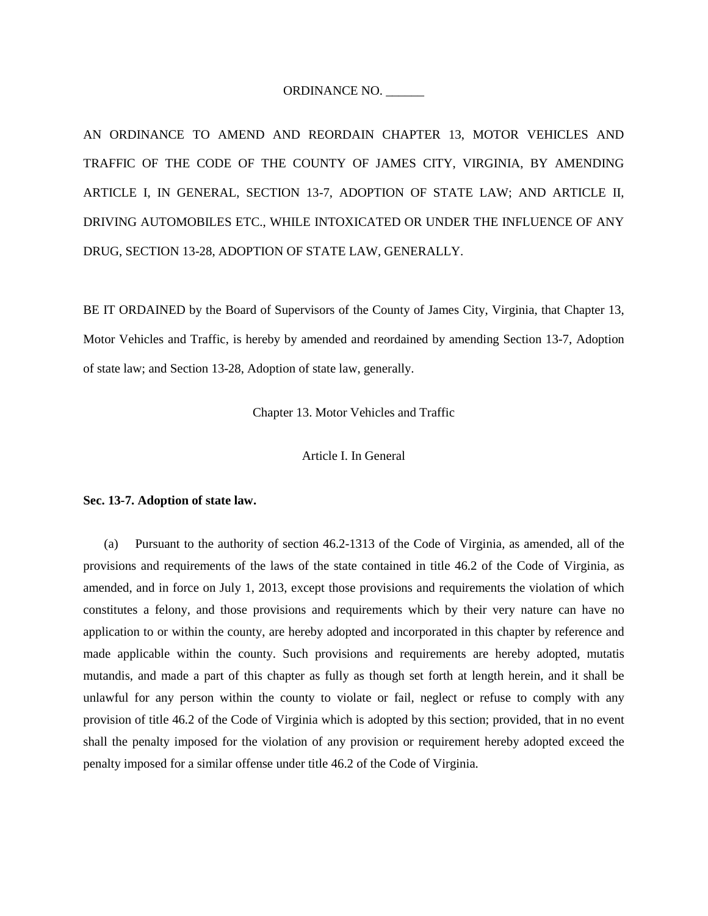#### ORDINANCE NO. \_\_\_\_\_\_

AN ORDINANCE TO AMEND AND REORDAIN CHAPTER 13, MOTOR VEHICLES AND TRAFFIC OF THE CODE OF THE COUNTY OF JAMES CITY, VIRGINIA, BY AMENDING ARTICLE I, IN GENERAL, SECTION 13-7, ADOPTION OF STATE LAW; AND ARTICLE II, DRIVING AUTOMOBILES ETC., WHILE INTOXICATED OR UNDER THE INFLUENCE OF ANY DRUG, SECTION 13-28, ADOPTION OF STATE LAW, GENERALLY.

BE IT ORDAINED by the Board of Supervisors of the County of James City, Virginia, that Chapter 13, Motor Vehicles and Traffic, is hereby by amended and reordained by amending Section 13-7, Adoption of state law; and Section 13-28, Adoption of state law, generally.

Chapter 13. Motor Vehicles and Traffic

Article I. In General

#### **Sec. 13-7. Adoption of state law.**

(a) Pursuant to the authority of section 46.2-1313 of the Code of Virginia, as amended, all of the provisions and requirements of the laws of the state contained in title 46.2 of the Code of Virginia, as amended, and in force on July 1, 2013, except those provisions and requirements the violation of which constitutes a felony, and those provisions and requirements which by their very nature can have no application to or within the county, are hereby adopted and incorporated in this chapter by reference and made applicable within the county. Such provisions and requirements are hereby adopted, mutatis mutandis, and made a part of this chapter as fully as though set forth at length herein, and it shall be unlawful for any person within the county to violate or fail, neglect or refuse to comply with any provision of title 46.2 of the Code of Virginia which is adopted by this section; provided, that in no event shall the penalty imposed for the violation of any provision or requirement hereby adopted exceed the penalty imposed for a similar offense under title 46.2 of the Code of Virginia.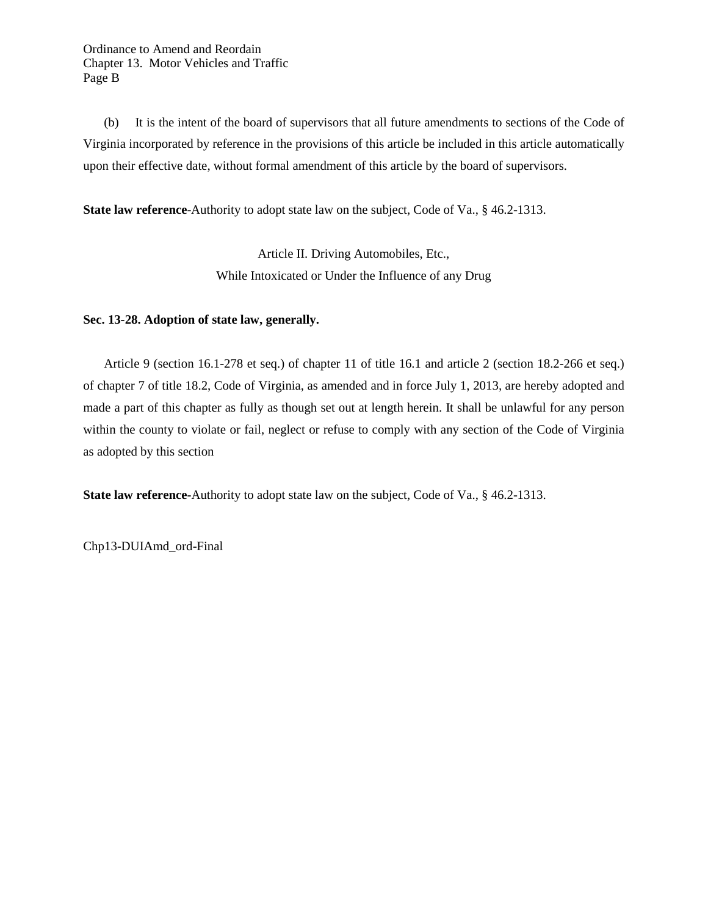Ordinance to Amend and Reordain Chapter 13. Motor Vehicles and Traffic Page B

(b) It is the intent of the board of supervisors that all future amendments to sections of the Code of Virginia incorporated by reference in the provisions of this article be included in this article automatically upon their effective date, without formal amendment of this article by the board of supervisors.

**State law reference**-Authority to adopt state law on the subject, Code of Va., § 46.2-1313.

Article II. Driving Automobiles, Etc., While Intoxicated or Under the Influence of any Drug

#### **Sec. 13-28. Adoption of state law, generally.**

Article 9 (section 16.1-278 et seq.) of chapter 11 of title 16.1 and article 2 (section 18.2-266 et seq.) of chapter 7 of title 18.2, Code of Virginia, as amended and in force July 1, 2013*,* are hereby adopted and made a part of this chapter as fully as though set out at length herein. It shall be unlawful for any person within the county to violate or fail, neglect or refuse to comply with any section of the Code of Virginia as adopted by this section

**State law reference-**Authority to adopt state law on the subject, Code of Va., § 46.2-1313.

Chp13-DUIAmd\_ord-Final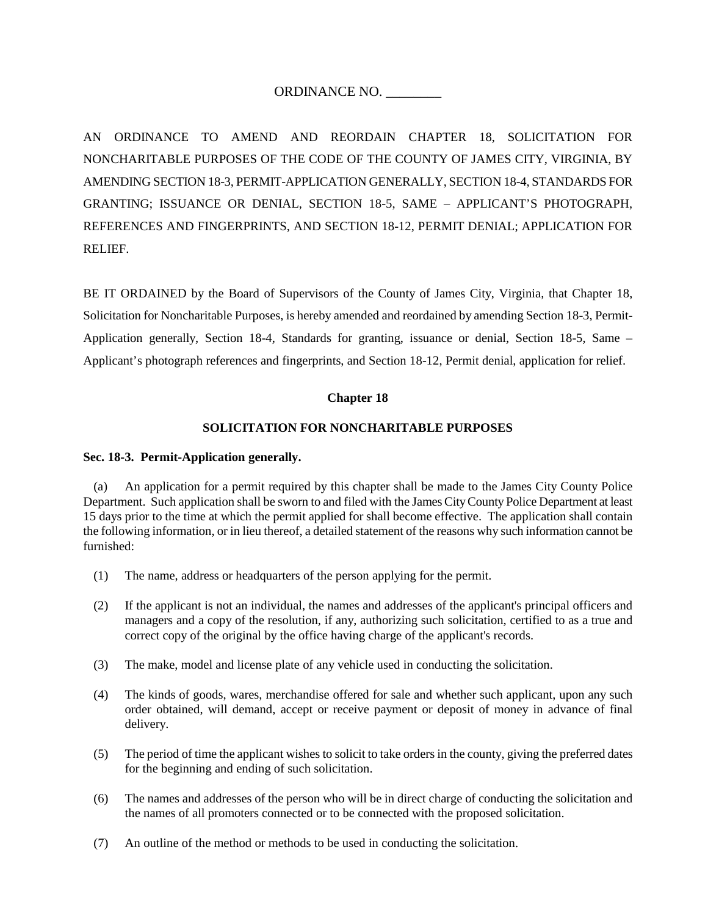### ORDINANCE NO. \_\_\_\_\_\_\_\_

AN ORDINANCE TO AMEND AND REORDAIN CHAPTER 18, SOLICITATION FOR NONCHARITABLE PURPOSES OF THE CODE OF THE COUNTY OF JAMES CITY, VIRGINIA, BY AMENDING SECTION 18-3, PERMIT-APPLICATION GENERALLY, SECTION 18-4, STANDARDS FOR GRANTING; ISSUANCE OR DENIAL, SECTION 18-5, SAME – APPLICANT'S PHOTOGRAPH, REFERENCES AND FINGERPRINTS, AND SECTION 18-12, PERMIT DENIAL; APPLICATION FOR RELIEF.

BE IT ORDAINED by the Board of Supervisors of the County of James City, Virginia, that Chapter 18, Solicitation for Noncharitable Purposes, is hereby amended and reordained by amending Section 18-3, Permit-Application generally, Section 18-4, Standards for granting, issuance or denial, Section 18-5, Same – Applicant's photograph references and fingerprints, and Section 18-12, Permit denial, application for relief.

#### **Chapter 18**

#### **SOLICITATION FOR NONCHARITABLE PURPOSES**

#### **Sec. 18-3. Permit-Application generally.**

(a) An application for a permit required by this chapter shall be made to the James City County Police Department. Such application shall be sworn to and filed with the James City County Police Department at least 15 days prior to the time at which the permit applied for shall become effective. The application shall contain the following information, or in lieu thereof, a detailed statement of the reasons why such information cannot be furnished:

- (1) The name, address or headquarters of the person applying for the permit.
- (2) If the applicant is not an individual, the names and addresses of the applicant's principal officers and managers and a copy of the resolution, if any, authorizing such solicitation, certified to as a true and correct copy of the original by the office having charge of the applicant's records.
- (3) The make, model and license plate of any vehicle used in conducting the solicitation.
- (4) The kinds of goods, wares, merchandise offered for sale and whether such applicant, upon any such order obtained, will demand, accept or receive payment or deposit of money in advance of final delivery.
- (5) The period of time the applicant wishes to solicit to take orders in the county, giving the preferred dates for the beginning and ending of such solicitation.
- (6) The names and addresses of the person who will be in direct charge of conducting the solicitation and the names of all promoters connected or to be connected with the proposed solicitation.
- (7) An outline of the method or methods to be used in conducting the solicitation.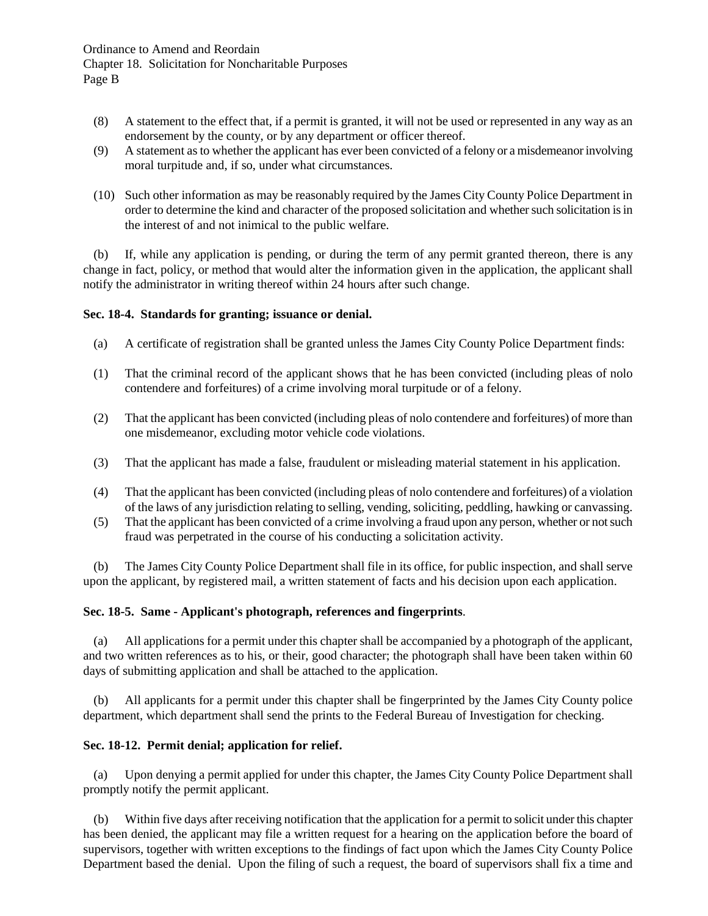- (8) A statement to the effect that, if a permit is granted, it will not be used or represented in any way as an endorsement by the county, or by any department or officer thereof.
- (9) A statement as to whether the applicant has ever been convicted of a felony or a misdemeanor involving moral turpitude and, if so, under what circumstances.
- (10) Such other information as may be reasonably required by the James City County Police Department in order to determine the kind and character of the proposed solicitation and whether such solicitation is in the interest of and not inimical to the public welfare.

(b) If, while any application is pending, or during the term of any permit granted thereon, there is any change in fact, policy, or method that would alter the information given in the application, the applicant shall notify the administrator in writing thereof within 24 hours after such change.

#### **Sec. 18-4. Standards for granting; issuance or denial.**

- (a) A certificate of registration shall be granted unless the James City County Police Department finds:
- (1) That the criminal record of the applicant shows that he has been convicted (including pleas of nolo contendere and forfeitures) of a crime involving moral turpitude or of a felony.
- (2) That the applicant has been convicted (including pleas of nolo contendere and forfeitures) of more than one misdemeanor, excluding motor vehicle code violations.
- (3) That the applicant has made a false, fraudulent or misleading material statement in his application.
- (4) That the applicant has been convicted (including pleas of nolo contendere and forfeitures) of a violation of the laws of any jurisdiction relating to selling, vending, soliciting, peddling, hawking or canvassing.
- (5) That the applicant has been convicted of a crime involving a fraud upon any person, whether or not such fraud was perpetrated in the course of his conducting a solicitation activity.

(b) The James City County Police Department shall file in its office, for public inspection, and shall serve upon the applicant, by registered mail, a written statement of facts and his decision upon each application.

#### **Sec. 18-5. Same - Applicant's photograph, references and fingerprints**.

(a) All applications for a permit under this chapter shall be accompanied by a photograph of the applicant, and two written references as to his, or their, good character; the photograph shall have been taken within 60 days of submitting application and shall be attached to the application.

(b) All applicants for a permit under this chapter shall be fingerprinted by the James City County police department, which department shall send the prints to the Federal Bureau of Investigation for checking.

#### **Sec. 18-12. Permit denial; application for relief.**

(a) Upon denying a permit applied for under this chapter, the James City County Police Department shall promptly notify the permit applicant.

(b) Within five days after receiving notification that the application for a permit to solicit under this chapter has been denied, the applicant may file a written request for a hearing on the application before the board of supervisors, together with written exceptions to the findings of fact upon which the James City County Police Department based the denial. Upon the filing of such a request, the board of supervisors shall fix a time and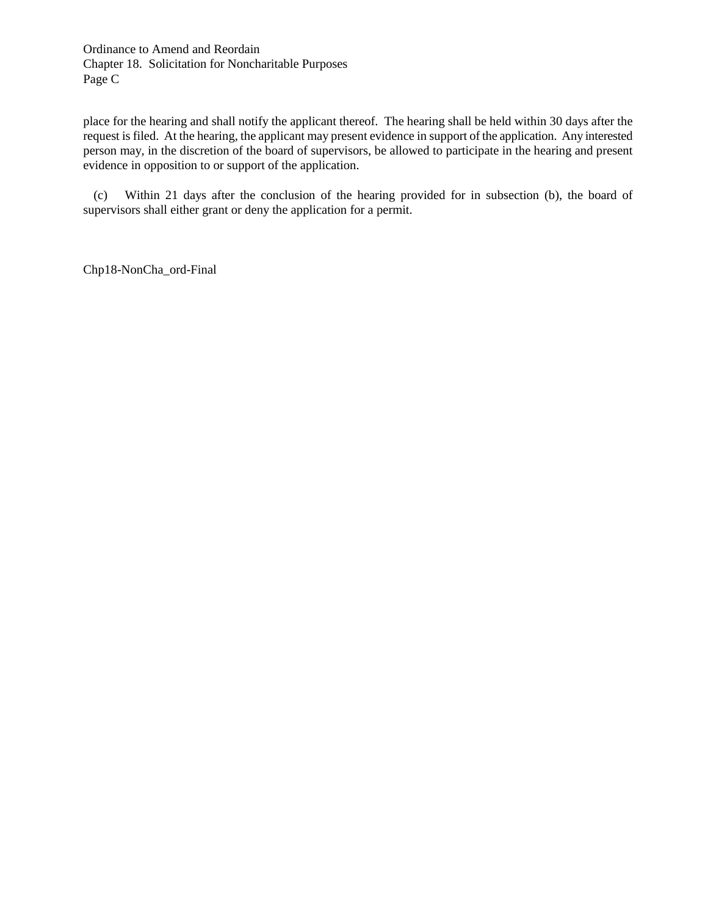Ordinance to Amend and Reordain Chapter 18. Solicitation for Noncharitable Purposes Page C

place for the hearing and shall notify the applicant thereof. The hearing shall be held within 30 days after the request is filed. At the hearing, the applicant may present evidence in support of the application. Any interested person may, in the discretion of the board of supervisors, be allowed to participate in the hearing and present evidence in opposition to or support of the application.

(c) Within 21 days after the conclusion of the hearing provided for in subsection (b), the board of supervisors shall either grant or deny the application for a permit.

Chp18-NonCha\_ord-Final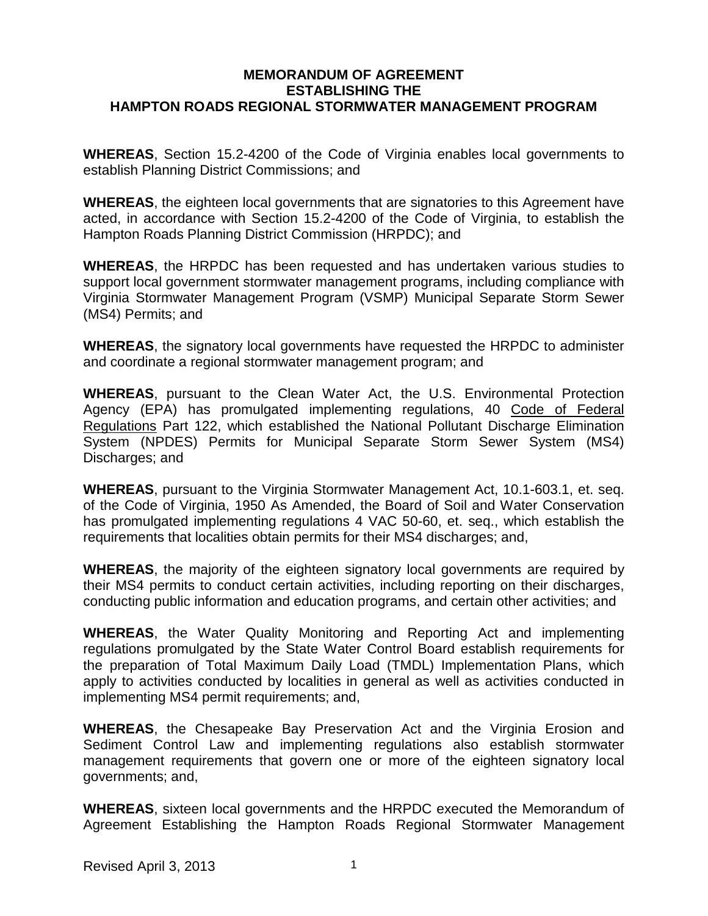### **MEMORANDUM OF AGREEMENT ESTABLISHING THE HAMPTON ROADS REGIONAL STORMWATER MANAGEMENT PROGRAM**

**WHEREAS**, Section 15.2-4200 of the Code of Virginia enables local governments to establish Planning District Commissions; and

**WHEREAS**, the eighteen local governments that are signatories to this Agreement have acted, in accordance with Section 15.2-4200 of the Code of Virginia, to establish the Hampton Roads Planning District Commission (HRPDC); and

**WHEREAS**, the HRPDC has been requested and has undertaken various studies to support local government stormwater management programs, including compliance with Virginia Stormwater Management Program (VSMP) Municipal Separate Storm Sewer (MS4) Permits; and

**WHEREAS**, the signatory local governments have requested the HRPDC to administer and coordinate a regional stormwater management program; and

**WHEREAS**, pursuant to the Clean Water Act, the U.S. Environmental Protection Agency (EPA) has promulgated implementing regulations, 40 Code of Federal Regulations Part 122, which established the National Pollutant Discharge Elimination System (NPDES) Permits for Municipal Separate Storm Sewer System (MS4) Discharges; and

**WHEREAS**, pursuant to the Virginia Stormwater Management Act, 10.1-603.1, et. seq. of the Code of Virginia, 1950 As Amended, the Board of Soil and Water Conservation has promulgated implementing regulations 4 VAC 50-60, et. seq., which establish the requirements that localities obtain permits for their MS4 discharges; and,

**WHEREAS**, the majority of the eighteen signatory local governments are required by their MS4 permits to conduct certain activities, including reporting on their discharges, conducting public information and education programs, and certain other activities; and

**WHEREAS**, the Water Quality Monitoring and Reporting Act and implementing regulations promulgated by the State Water Control Board establish requirements for the preparation of Total Maximum Daily Load (TMDL) Implementation Plans, which apply to activities conducted by localities in general as well as activities conducted in implementing MS4 permit requirements; and,

**WHEREAS**, the Chesapeake Bay Preservation Act and the Virginia Erosion and Sediment Control Law and implementing regulations also establish stormwater management requirements that govern one or more of the eighteen signatory local governments; and,

**WHEREAS**, sixteen local governments and the HRPDC executed the Memorandum of Agreement Establishing the Hampton Roads Regional Stormwater Management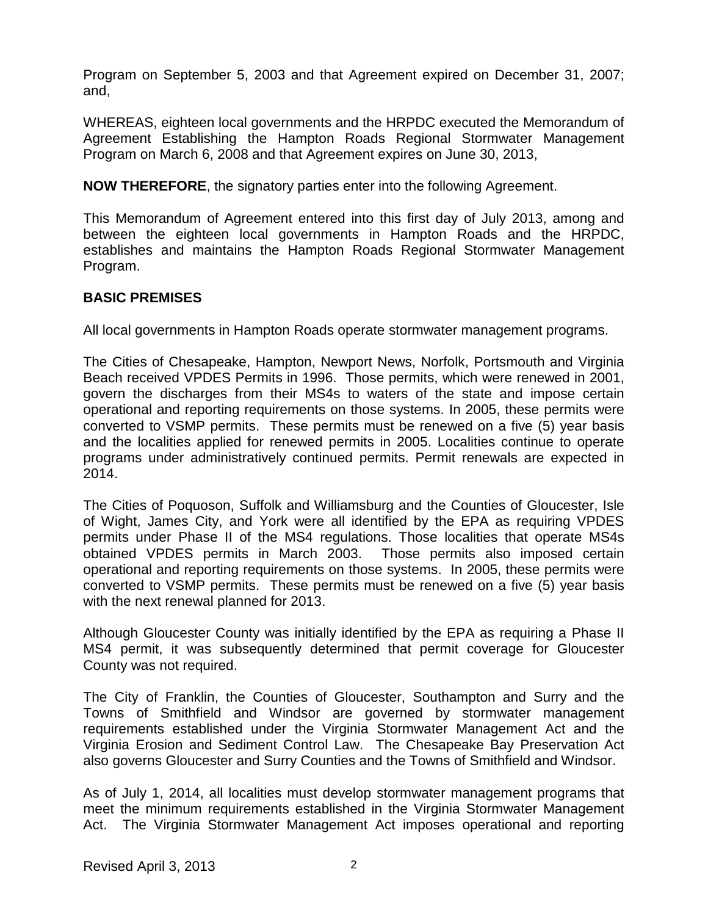Program on September 5, 2003 and that Agreement expired on December 31, 2007; and,

WHEREAS, eighteen local governments and the HRPDC executed the Memorandum of Agreement Establishing the Hampton Roads Regional Stormwater Management Program on March 6, 2008 and that Agreement expires on June 30, 2013,

**NOW THEREFORE**, the signatory parties enter into the following Agreement.

This Memorandum of Agreement entered into this first day of July 2013, among and between the eighteen local governments in Hampton Roads and the HRPDC, establishes and maintains the Hampton Roads Regional Stormwater Management Program.

# **BASIC PREMISES**

All local governments in Hampton Roads operate stormwater management programs.

The Cities of Chesapeake, Hampton, Newport News, Norfolk, Portsmouth and Virginia Beach received VPDES Permits in 1996. Those permits, which were renewed in 2001, govern the discharges from their MS4s to waters of the state and impose certain operational and reporting requirements on those systems. In 2005, these permits were converted to VSMP permits. These permits must be renewed on a five (5) year basis and the localities applied for renewed permits in 2005. Localities continue to operate programs under administratively continued permits. Permit renewals are expected in 2014.

The Cities of Poquoson, Suffolk and Williamsburg and the Counties of Gloucester, Isle of Wight, James City, and York were all identified by the EPA as requiring VPDES permits under Phase II of the MS4 regulations. Those localities that operate MS4s obtained VPDES permits in March 2003. Those permits also imposed certain operational and reporting requirements on those systems. In 2005, these permits were converted to VSMP permits. These permits must be renewed on a five (5) year basis with the next renewal planned for 2013.

Although Gloucester County was initially identified by the EPA as requiring a Phase II MS4 permit, it was subsequently determined that permit coverage for Gloucester County was not required.

The City of Franklin, the Counties of Gloucester, Southampton and Surry and the Towns of Smithfield and Windsor are governed by stormwater management requirements established under the Virginia Stormwater Management Act and the Virginia Erosion and Sediment Control Law. The Chesapeake Bay Preservation Act also governs Gloucester and Surry Counties and the Towns of Smithfield and Windsor.

As of July 1, 2014, all localities must develop stormwater management programs that meet the minimum requirements established in the Virginia Stormwater Management Act. The Virginia Stormwater Management Act imposes operational and reporting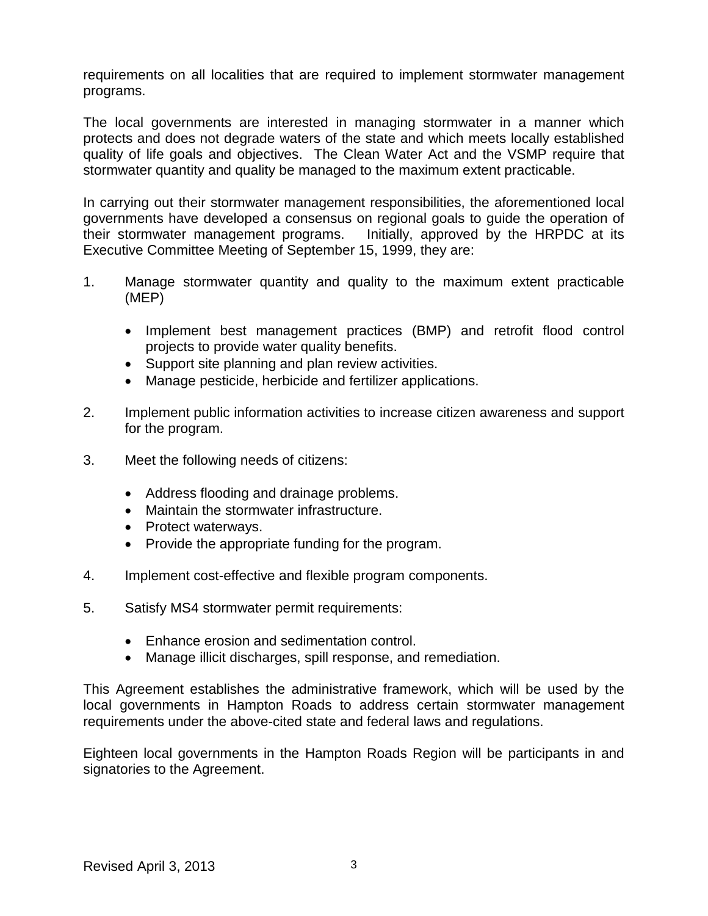requirements on all localities that are required to implement stormwater management programs.

The local governments are interested in managing stormwater in a manner which protects and does not degrade waters of the state and which meets locally established quality of life goals and objectives. The Clean Water Act and the VSMP require that stormwater quantity and quality be managed to the maximum extent practicable.

In carrying out their stormwater management responsibilities, the aforementioned local governments have developed a consensus on regional goals to guide the operation of their stormwater management programs. Initially, approved by the HRPDC at its Executive Committee Meeting of September 15, 1999, they are:

- 1. Manage stormwater quantity and quality to the maximum extent practicable (MEP)
	- Implement best management practices (BMP) and retrofit flood control projects to provide water quality benefits.
	- Support site planning and plan review activities.
	- Manage pesticide, herbicide and fertilizer applications.
- 2. Implement public information activities to increase citizen awareness and support for the program.
- 3. Meet the following needs of citizens:
	- Address flooding and drainage problems.
	- Maintain the stormwater infrastructure.
	- Protect waterways.
	- Provide the appropriate funding for the program.
- 4. Implement cost-effective and flexible program components.
- 5. Satisfy MS4 stormwater permit requirements:
	- Enhance erosion and sedimentation control.
	- Manage illicit discharges, spill response, and remediation.

This Agreement establishes the administrative framework, which will be used by the local governments in Hampton Roads to address certain stormwater management requirements under the above-cited state and federal laws and regulations.

Eighteen local governments in the Hampton Roads Region will be participants in and signatories to the Agreement.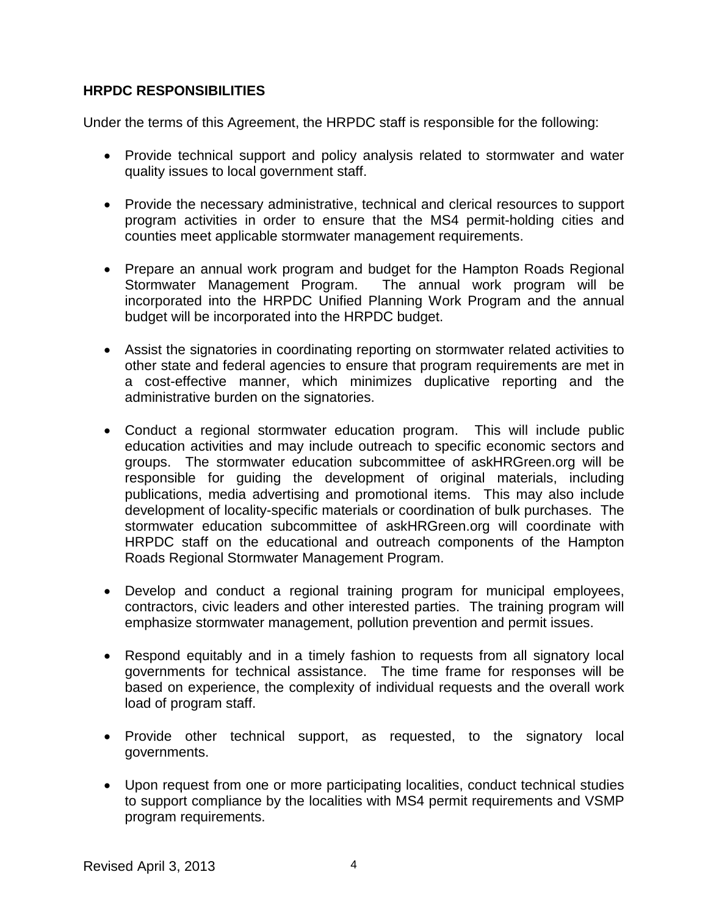# **HRPDC RESPONSIBILITIES**

Under the terms of this Agreement, the HRPDC staff is responsible for the following:

- Provide technical support and policy analysis related to stormwater and water quality issues to local government staff.
- Provide the necessary administrative, technical and clerical resources to support program activities in order to ensure that the MS4 permit-holding cities and counties meet applicable stormwater management requirements.
- Prepare an annual work program and budget for the Hampton Roads Regional Stormwater Management Program. The annual work program will be incorporated into the HRPDC Unified Planning Work Program and the annual budget will be incorporated into the HRPDC budget.
- Assist the signatories in coordinating reporting on stormwater related activities to other state and federal agencies to ensure that program requirements are met in a cost-effective manner, which minimizes duplicative reporting and the administrative burden on the signatories.
- Conduct a regional stormwater education program. This will include public education activities and may include outreach to specific economic sectors and groups. The stormwater education subcommittee of askHRGreen.org will be responsible for guiding the development of original materials, including publications, media advertising and promotional items. This may also include development of locality-specific materials or coordination of bulk purchases. The stormwater education subcommittee of askHRGreen.org will coordinate with HRPDC staff on the educational and outreach components of the Hampton Roads Regional Stormwater Management Program.
- Develop and conduct a regional training program for municipal employees, contractors, civic leaders and other interested parties. The training program will emphasize stormwater management, pollution prevention and permit issues.
- Respond equitably and in a timely fashion to requests from all signatory local governments for technical assistance. The time frame for responses will be based on experience, the complexity of individual requests and the overall work load of program staff.
- Provide other technical support, as requested, to the signatory local governments.
- Upon request from one or more participating localities, conduct technical studies to support compliance by the localities with MS4 permit requirements and VSMP program requirements.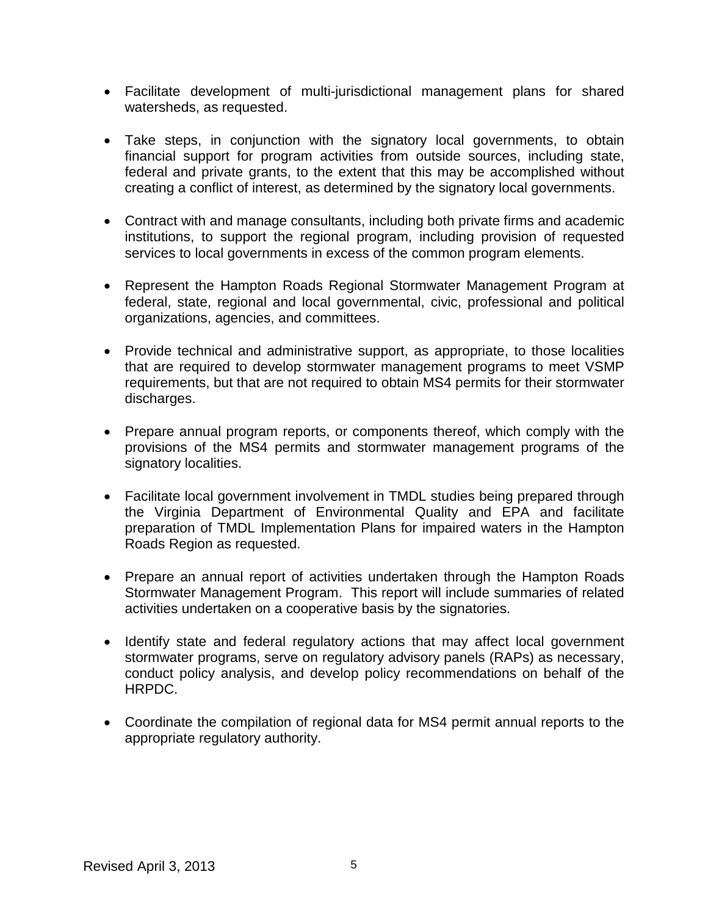- Facilitate development of multi-jurisdictional management plans for shared watersheds, as requested.
- Take steps, in conjunction with the signatory local governments, to obtain financial support for program activities from outside sources, including state, federal and private grants, to the extent that this may be accomplished without creating a conflict of interest, as determined by the signatory local governments.
- Contract with and manage consultants, including both private firms and academic institutions, to support the regional program, including provision of requested services to local governments in excess of the common program elements.
- Represent the Hampton Roads Regional Stormwater Management Program at federal, state, regional and local governmental, civic, professional and political organizations, agencies, and committees.
- Provide technical and administrative support, as appropriate, to those localities that are required to develop stormwater management programs to meet VSMP requirements, but that are not required to obtain MS4 permits for their stormwater discharges.
- Prepare annual program reports, or components thereof, which comply with the provisions of the MS4 permits and stormwater management programs of the signatory localities.
- Facilitate local government involvement in TMDL studies being prepared through the Virginia Department of Environmental Quality and EPA and facilitate preparation of TMDL Implementation Plans for impaired waters in the Hampton Roads Region as requested.
- Prepare an annual report of activities undertaken through the Hampton Roads Stormwater Management Program. This report will include summaries of related activities undertaken on a cooperative basis by the signatories.
- Identify state and federal regulatory actions that may affect local government stormwater programs, serve on regulatory advisory panels (RAPs) as necessary, conduct policy analysis, and develop policy recommendations on behalf of the HRPDC.
- Coordinate the compilation of regional data for MS4 permit annual reports to the appropriate regulatory authority.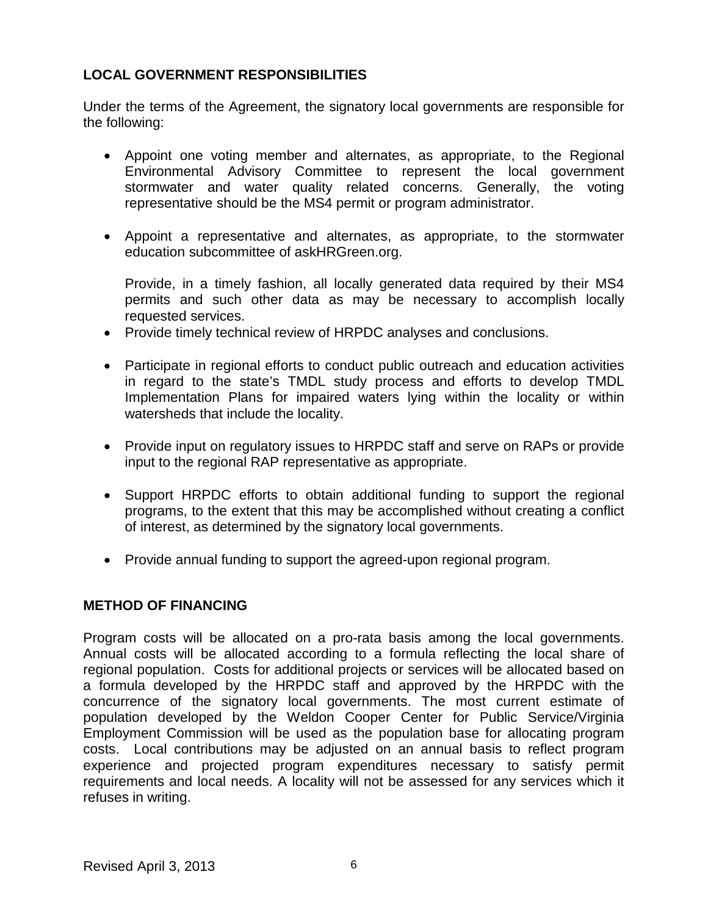# **LOCAL GOVERNMENT RESPONSIBILITIES**

Under the terms of the Agreement, the signatory local governments are responsible for the following:

- Appoint one voting member and alternates, as appropriate, to the Regional Environmental Advisory Committee to represent the local government stormwater and water quality related concerns. Generally, the voting representative should be the MS4 permit or program administrator.
- Appoint a representative and alternates, as appropriate, to the stormwater education subcommittee of askHRGreen.org.

Provide, in a timely fashion, all locally generated data required by their MS4 permits and such other data as may be necessary to accomplish locally requested services.

- Provide timely technical review of HRPDC analyses and conclusions.
- Participate in regional efforts to conduct public outreach and education activities in regard to the state's TMDL study process and efforts to develop TMDL Implementation Plans for impaired waters lying within the locality or within watersheds that include the locality.
- Provide input on regulatory issues to HRPDC staff and serve on RAPs or provide input to the regional RAP representative as appropriate.
- Support HRPDC efforts to obtain additional funding to support the regional programs, to the extent that this may be accomplished without creating a conflict of interest, as determined by the signatory local governments.
- Provide annual funding to support the agreed-upon regional program.

# **METHOD OF FINANCING**

Program costs will be allocated on a pro-rata basis among the local governments. Annual costs will be allocated according to a formula reflecting the local share of regional population. Costs for additional projects or services will be allocated based on a formula developed by the HRPDC staff and approved by the HRPDC with the concurrence of the signatory local governments. The most current estimate of population developed by the Weldon Cooper Center for Public Service/Virginia Employment Commission will be used as the population base for allocating program costs. Local contributions may be adjusted on an annual basis to reflect program experience and projected program expenditures necessary to satisfy permit requirements and local needs. A locality will not be assessed for any services which it refuses in writing.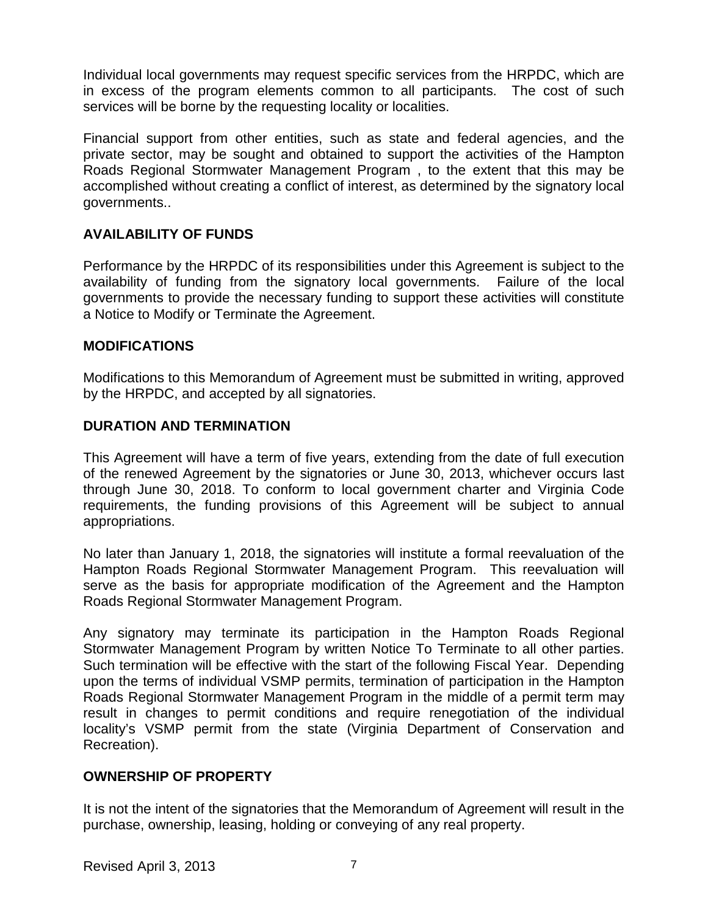Individual local governments may request specific services from the HRPDC, which are in excess of the program elements common to all participants. The cost of such services will be borne by the requesting locality or localities.

Financial support from other entities, such as state and federal agencies, and the private sector, may be sought and obtained to support the activities of the Hampton Roads Regional Stormwater Management Program , to the extent that this may be accomplished without creating a conflict of interest, as determined by the signatory local governments..

# **AVAILABILITY OF FUNDS**

Performance by the HRPDC of its responsibilities under this Agreement is subject to the availability of funding from the signatory local governments. Failure of the local governments to provide the necessary funding to support these activities will constitute a Notice to Modify or Terminate the Agreement.

# **MODIFICATIONS**

Modifications to this Memorandum of Agreement must be submitted in writing, approved by the HRPDC, and accepted by all signatories.

### **DURATION AND TERMINATION**

This Agreement will have a term of five years, extending from the date of full execution of the renewed Agreement by the signatories or June 30, 2013, whichever occurs last through June 30, 2018. To conform to local government charter and Virginia Code requirements, the funding provisions of this Agreement will be subject to annual appropriations.

No later than January 1, 2018, the signatories will institute a formal reevaluation of the Hampton Roads Regional Stormwater Management Program. This reevaluation will serve as the basis for appropriate modification of the Agreement and the Hampton Roads Regional Stormwater Management Program.

Any signatory may terminate its participation in the Hampton Roads Regional Stormwater Management Program by written Notice To Terminate to all other parties. Such termination will be effective with the start of the following Fiscal Year. Depending upon the terms of individual VSMP permits, termination of participation in the Hampton Roads Regional Stormwater Management Program in the middle of a permit term may result in changes to permit conditions and require renegotiation of the individual locality's VSMP permit from the state (Virginia Department of Conservation and Recreation).

# **OWNERSHIP OF PROPERTY**

It is not the intent of the signatories that the Memorandum of Agreement will result in the purchase, ownership, leasing, holding or conveying of any real property.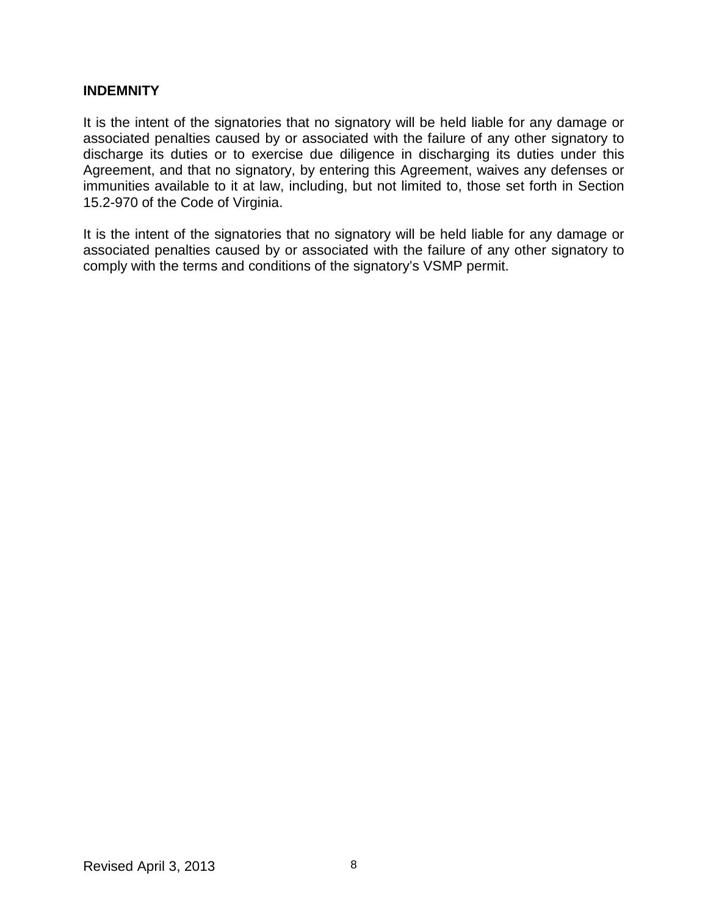# **INDEMNITY**

It is the intent of the signatories that no signatory will be held liable for any damage or associated penalties caused by or associated with the failure of any other signatory to discharge its duties or to exercise due diligence in discharging its duties under this Agreement, and that no signatory, by entering this Agreement, waives any defenses or immunities available to it at law, including, but not limited to, those set forth in Section 15.2-970 of the Code of Virginia.

It is the intent of the signatories that no signatory will be held liable for any damage or associated penalties caused by or associated with the failure of any other signatory to comply with the terms and conditions of the signatory's VSMP permit.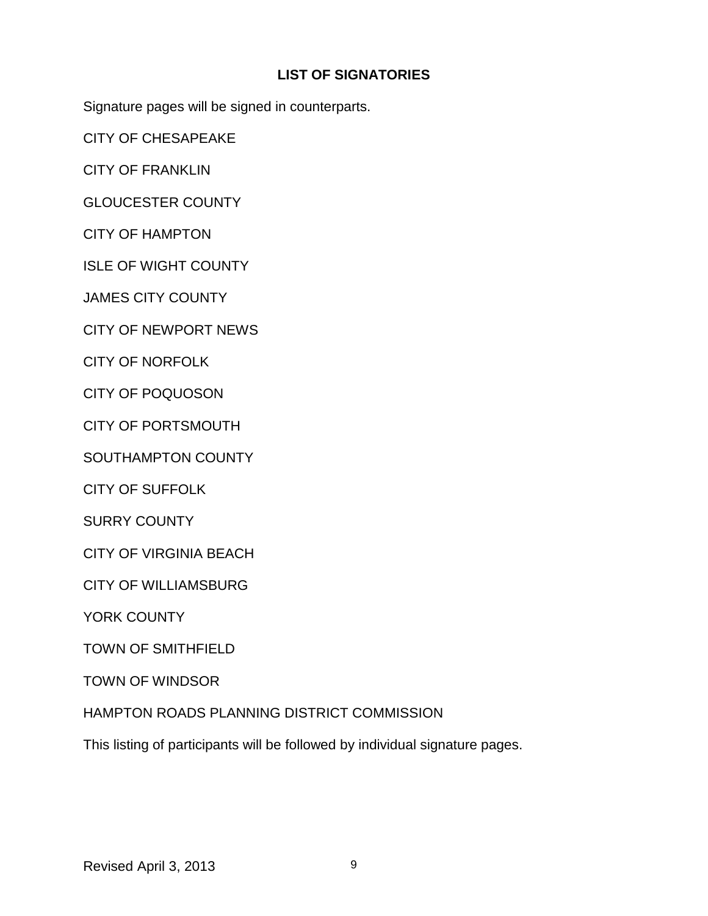# **LIST OF SIGNATORIES**

Signature pages will be signed in counterparts.

CITY OF CHESAPEAKE

CITY OF FRANKLIN

GLOUCESTER COUNTY

CITY OF HAMPTON

ISLE OF WIGHT COUNTY

JAMES CITY COUNTY

CITY OF NEWPORT NEWS

CITY OF NORFOLK

CITY OF POQUOSON

CITY OF PORTSMOUTH

SOUTHAMPTON COUNTY

CITY OF SUFFOLK

SURRY COUNTY

CITY OF VIRGINIA BEACH

CITY OF WILLIAMSBURG

YORK COUNTY

TOWN OF SMITHFIELD

TOWN OF WINDSOR

# HAMPTON ROADS PLANNING DISTRICT COMMISSION

This listing of participants will be followed by individual signature pages.